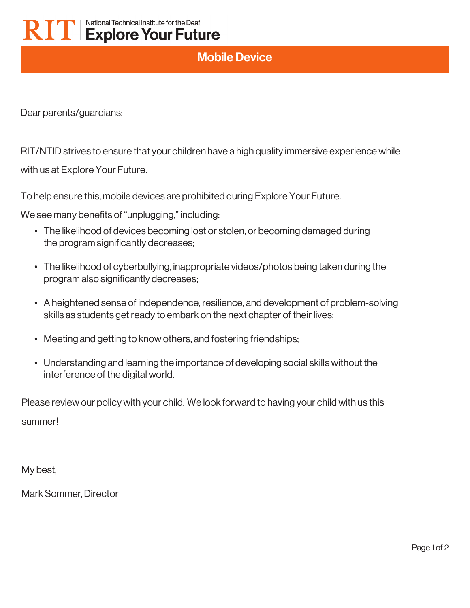## Mobile Device

Dear parents/guardians:

RIT/NTID strives to ensure that your children have a high quality immersive experience while

with us at Explore Your Future.

To help ensure this, mobile devices are prohibited during Explore Your Future.

We see many benefits of "unplugging," including:

- The likelihood of devices becoming lost or stolen, or becoming damaged during the program significantly decreases;
- The likelihood of cyberbullying, inappropriate videos/photos being taken during the program also significantly decreases;
- A heightened sense of independence, resilience, and development of problem-solving skills as students get ready to embark on the next chapter of their lives;
- Meeting and getting to know others, and fostering friendships;
- Understanding and learning the importance of developing social skills without the interference of the digital world.

Please review our policy with your child. We look forward to having your child with us this summer!

My best,

Mark Sommer, Director